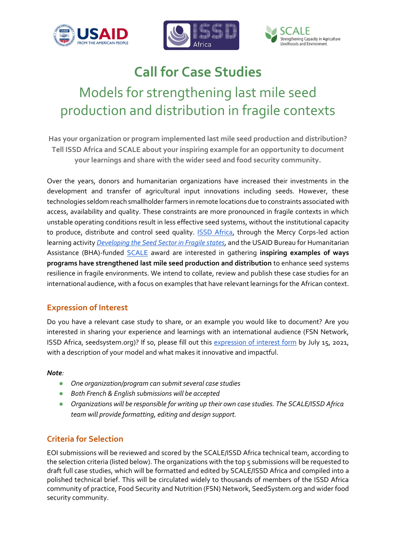



# **Call for Case Studies**

Models for strengthening last mile seed production and distribution in fragile contexts

**Has your organization or program implemented last mile seed production and distribution? Tell ISSD Africa and SCALE about your inspiring example for an opportunity to document your learnings and share with the wider seed and food security community.**

Over the years, donors and humanitarian organizations have increased their investments in the development and transfer of agricultural input innovations including seeds. However, these technologies seldom reach smallholder farmers in remote locations due to constraints associated with access, availability and quality. These constraints are more pronounced in fragile contexts in which unstable operating conditions result in less effective seed systems, without the institutional capacity to produce, distribute and control seed quality. **ISSD Africa**, through the Mercy Corps-led action learning activity *[Developing the Seed Sector in Fragile states](https://issdafrica.org/seed-sector-development-in-fragile-states/)*, and the USAID Bureau for Humanitarian Assistance (BHA)-funded [SCALE](https://www.fsnnetwork.org/SCALE) award are interested in gathering **inspiring examples of ways programs have strengthened last mile seed production and distribution** to enhance seed systems resilience in fragile environments. We intend to collate, review and publish these case studies for an international audience, with a focus on examples that have relevant learnings for the African context.

#### **Expression of Interest**

Do you have a relevant case study to share, or an example you would like to document? Are you interested in sharing your experience and learnings with an international audience (FSN Network, ISSD Africa, seedsystem.org)? If so, please fill out this [expression of interest form](https://forms.gle/iL7Z72mfM1wiuYp56) by July 15, 2021, with a description of your model and what makes it innovative and impactful.

#### *Note:*

- *One organization/program can submit several case studies*
- *Both French & English submissions will be accepted*
- *Organizations will be responsible for writing up their own case studies. The SCALE/ISSD Africa team will provide formatting, editing and design support.*

# **Criteria for Selection**

EOI submissions will be reviewed and scored by the SCALE/ISSD Africa technical team, according to the selection criteria (listed below). The organizations with the top 5 submissions will be requested to draft full case studies, which will be formatted and edited by SCALE/ISSD Africa and compiled into a polished technical brief. This will be circulated widely to thousands of members of the ISSD Africa community of practice, Food Security and Nutrition (FSN) Network, SeedSystem.org and wider food security community.